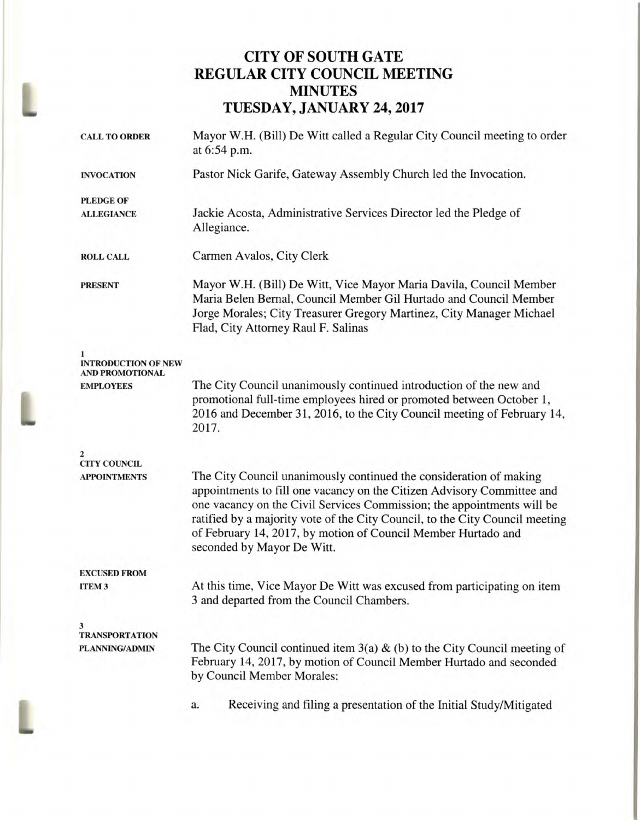## **CITY OF SOUTH GATE REGULAR CITY COUNCIL MEETING MINUTES TUESDAY, JANUARY 24, 2017**

| <b>CALL TO ORDER</b>                                | Mayor W.H. (Bill) De Witt called a Regular City Council meeting to order<br>at 6:54 p.m.                                                                                                                                                                                                                                                                                                              |  |  |
|-----------------------------------------------------|-------------------------------------------------------------------------------------------------------------------------------------------------------------------------------------------------------------------------------------------------------------------------------------------------------------------------------------------------------------------------------------------------------|--|--|
| <b>INVOCATION</b>                                   | Pastor Nick Garife, Gateway Assembly Church led the Invocation.                                                                                                                                                                                                                                                                                                                                       |  |  |
| <b>PLEDGE OF</b><br><b>ALLEGIANCE</b>               | Jackie Acosta, Administrative Services Director led the Pledge of<br>Allegiance.                                                                                                                                                                                                                                                                                                                      |  |  |
| <b>ROLL CALL</b>                                    | Carmen Avalos, City Clerk                                                                                                                                                                                                                                                                                                                                                                             |  |  |
| <b>PRESENT</b>                                      | Mayor W.H. (Bill) De Witt, Vice Mayor Maria Davila, Council Member<br>Maria Belen Bernal, Council Member Gil Hurtado and Council Member<br>Jorge Morales; City Treasurer Gregory Martinez, City Manager Michael<br>Flad, City Attorney Raul F. Salinas                                                                                                                                                |  |  |
| <b>INTRODUCTION OF NEW</b>                          |                                                                                                                                                                                                                                                                                                                                                                                                       |  |  |
| <b>AND PROMOTIONAL</b><br><b>EMPLOYEES</b>          | The City Council unanimously continued introduction of the new and<br>promotional full-time employees hired or promoted between October 1,<br>2016 and December 31, 2016, to the City Council meeting of February 14,<br>2017.                                                                                                                                                                        |  |  |
| 2<br><b>CITY COUNCIL</b>                            |                                                                                                                                                                                                                                                                                                                                                                                                       |  |  |
| <b>APPOINTMENTS</b>                                 | The City Council unanimously continued the consideration of making<br>appointments to fill one vacancy on the Citizen Advisory Committee and<br>one vacancy on the Civil Services Commission; the appointments will be<br>ratified by a majority vote of the City Council, to the City Council meeting<br>of February 14, 2017, by motion of Council Member Hurtado and<br>seconded by Mayor De Witt. |  |  |
| <b>EXCUSED FROM</b>                                 |                                                                                                                                                                                                                                                                                                                                                                                                       |  |  |
| <b>ITEM3</b>                                        | At this time, Vice Mayor De Witt was excused from participating on item<br>3 and departed from the Council Chambers.                                                                                                                                                                                                                                                                                  |  |  |
| 3<br><b>TRANSPORTATION</b><br><b>PLANNING/ADMIN</b> | The City Council continued item $3(a)$ & (b) to the City Council meeting of<br>February 14, 2017, by motion of Council Member Hurtado and seconded<br>by Council Member Morales:                                                                                                                                                                                                                      |  |  |
|                                                     | Receiving and filing a presentation of the Initial Study/Mitigated<br>a.                                                                                                                                                                                                                                                                                                                              |  |  |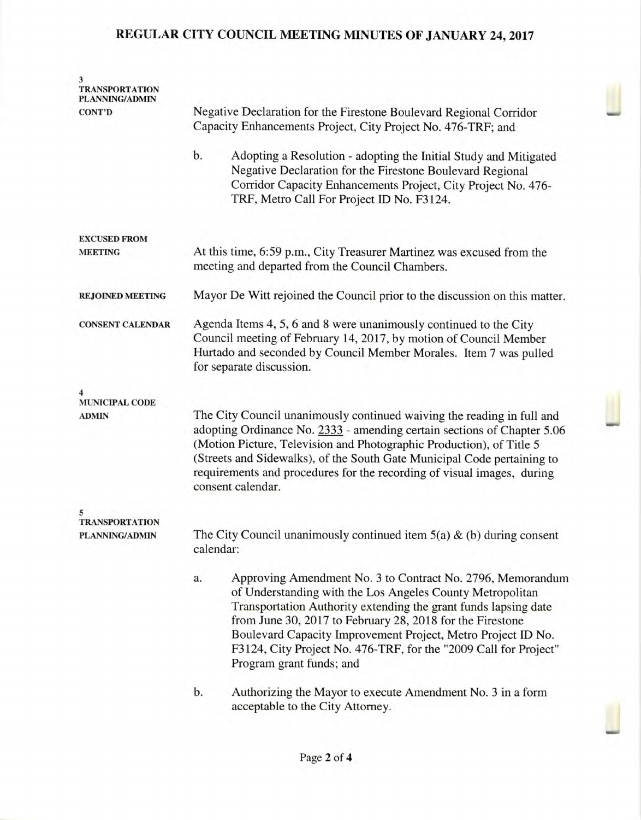## **REGULAR CITY COUNCIL MEETING MINUTES OF JANUARY 24, 2017**

| <b>TRANSPORTATION</b><br>PLANNING/ADMIN |                                                                                                                                                                                                                                                                                                                                                                                                                               |  |  |  |
|-----------------------------------------|-------------------------------------------------------------------------------------------------------------------------------------------------------------------------------------------------------------------------------------------------------------------------------------------------------------------------------------------------------------------------------------------------------------------------------|--|--|--|
| <b>CONT'D</b>                           | Negative Declaration for the Firestone Boulevard Regional Corridor<br>Capacity Enhancements Project, City Project No. 476-TRF; and                                                                                                                                                                                                                                                                                            |  |  |  |
|                                         | b.<br>Adopting a Resolution - adopting the Initial Study and Mitigated<br>Negative Declaration for the Firestone Boulevard Regional<br>Corridor Capacity Enhancements Project, City Project No. 476-<br>TRF, Metro Call For Project ID No. F3124.                                                                                                                                                                             |  |  |  |
| <b>EXCUSED FROM</b>                     |                                                                                                                                                                                                                                                                                                                                                                                                                               |  |  |  |
| <b>MEETING</b>                          | At this time, 6:59 p.m., City Treasurer Martinez was excused from the<br>meeting and departed from the Council Chambers.                                                                                                                                                                                                                                                                                                      |  |  |  |
| <b>REJOINED MEETING</b>                 | Mayor De Witt rejoined the Council prior to the discussion on this matter.                                                                                                                                                                                                                                                                                                                                                    |  |  |  |
| <b>CONSENT CALENDAR</b>                 | Agenda Items 4, 5, 6 and 8 were unanimously continued to the City<br>Council meeting of February 14, 2017, by motion of Council Member<br>Hurtado and seconded by Council Member Morales. Item 7 was pulled<br>for separate discussion.                                                                                                                                                                                       |  |  |  |
| <b>MUNICIPAL CODE</b>                   |                                                                                                                                                                                                                                                                                                                                                                                                                               |  |  |  |
| <b>ADMIN</b>                            | The City Council unanimously continued waiving the reading in full and<br>adopting Ordinance No. 2333 - amending certain sections of Chapter 5.06<br>(Motion Picture, Television and Photographic Production), of Title 5<br>(Streets and Sidewalks), of the South Gate Municipal Code pertaining to<br>requirements and procedures for the recording of visual images, during<br>consent calendar.                           |  |  |  |
| <b>TRANSPORTATION</b>                   |                                                                                                                                                                                                                                                                                                                                                                                                                               |  |  |  |
| <b>PLANNING/ADMIN</b>                   | The City Council unanimously continued item $5(a)$ & (b) during consent<br>calendar:                                                                                                                                                                                                                                                                                                                                          |  |  |  |
|                                         | Approving Amendment No. 3 to Contract No. 2796, Memorandum<br>a.<br>of Understanding with the Los Angeles County Metropolitan<br>Transportation Authority extending the grant funds lapsing date<br>from June 30, 2017 to February 28, 2018 for the Firestone<br>Boulevard Capacity Improvement Project, Metro Project ID No.<br>F3124, City Project No. 476-TRF, for the "2009 Call for Project"<br>Program grant funds; and |  |  |  |
|                                         | b.<br>Authorizing the Mayor to execute Amendment No. 3 in a form<br>acceptable to the City Attorney.                                                                                                                                                                                                                                                                                                                          |  |  |  |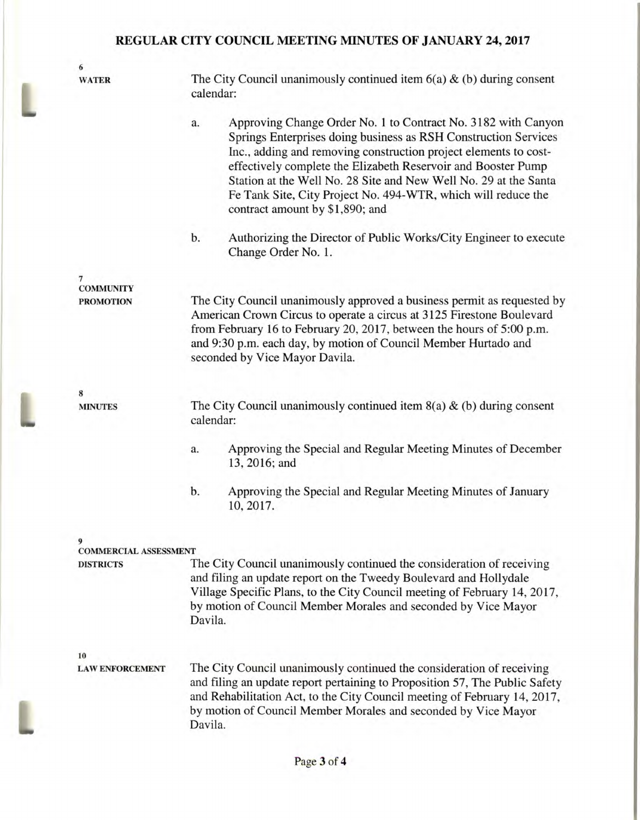## **REGULAR CITY COUNCIL MEETING MINUTES OF JANUARY 24, 2017**

6 WATER The City Council unanimously continued item  $6(a) \& (b)$  during consent calendar: a. Approving Change Order No. 1 to Contract No. 3182 with Canyon Springs Enterprises doing business as **RSH** Construction Services Inc., adding and removing construction project elements to costeffectively complete the Elizabeth Reservoir and Booster Pump Station at the Well No. 28 Site and New Well No. 29 at the Santa Fe Tank Site, City Project No. 494-WTR, which will reduce the contract amount by \$1,890; and b. Authorizing the Director of Public Works/City Engineer to execute Change Order No. 1. 7 COMMUNITY PROMOTION The City Council unanimously approved a business permit as requested by American Crown Circus to operate a circus at 3125 Firestone Boulevard from February 16 to February 20, 2017, between the hours of 5:00 p.m. and 9:30 p.m. each day, by motion of Council Member Hurtado and seconded by Vice Mayor Davila. **8 MINUTES** The City Council unanimously continued item  $8(a) & (b)$  during consent calendar: a. Approving the Special and Regular Meeting Minutes of December 13, 2016; and b. Approving the Special and Regular Meeting Minutes of January 10, 2017. **9 COMMERCIAL ASSESSMENT DISTRICTS** The City Council unanimously continued the consideration of receiving and filing an update report on the Tweedy Boulevard and Hollydale Village Specific Plans, to the City Council meeting of February 14, 2017, by motion of Council Member Morales and seconded by Vice Mayor Davila. 10 LAW **ENFORCEMENT** The City Council unanimously continued the consideration of receiving and filing an update report pertaining to Proposition 57, The Public Safety and Rehabilitation Act, to the City Council meeting of February 14, 2017, by motion of Council Member Morales and seconded by Vice Mayor Davila.

I